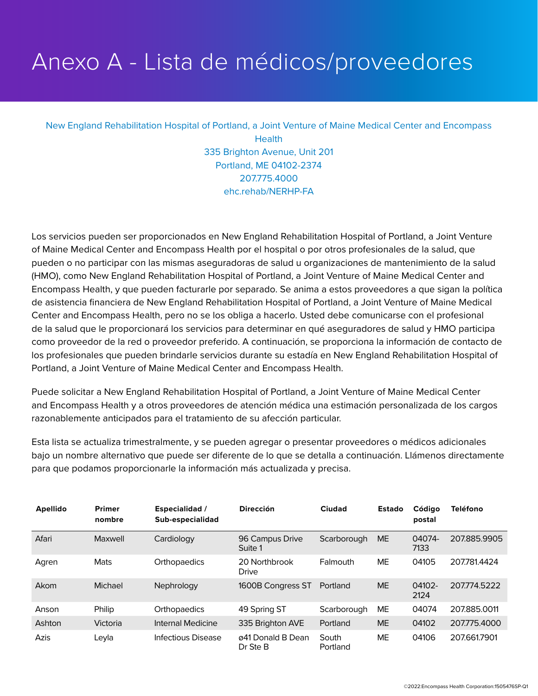## Anexo A - Lista de médicos/proveedores

## New England Rehabilitation Hospital of Portland, a Joint Venture of Maine Medical Center and Encompass **Health** 335 Brighton Avenue, Unit 201 Portland, ME 04102-2374 207.775.4000 ehc.rehab/NERHP-FA

Los servicios pueden ser proporcionados en New England Rehabilitation Hospital of Portland, a Joint Venture of Maine Medical Center and Encompass Health por el hospital o por otros profesionales de la salud, que pueden o no participar con las mismas aseguradoras de salud u organizaciones de mantenimiento de la salud (HMO), como New England Rehabilitation Hospital of Portland, a Joint Venture of Maine Medical Center and Encompass Health, y que pueden facturarle por separado. Se anima a estos proveedores a que sigan la política de asistencia financiera de New England Rehabilitation Hospital of Portland, a Joint Venture of Maine Medical Center and Encompass Health, pero no se los obliga a hacerlo. Usted debe comunicarse con el profesional de la salud que le proporcionará los servicios para determinar en qué aseguradores de salud y HMO participa como proveedor de la red o proveedor preferido. A continuación, se proporciona la información de contacto de los profesionales que pueden brindarle servicios durante su estadía en New England Rehabilitation Hospital of Portland, a Joint Venture of Maine Medical Center and Encompass Health.

Puede solicitar a New England Rehabilitation Hospital of Portland, a Joint Venture of Maine Medical Center and Encompass Health y a otros proveedores de atención médica una estimación personalizada de los cargos razonablemente anticipados para el tratamiento de su afección particular.

Esta lista se actualiza trimestralmente, y se pueden agregar o presentar proveedores o médicos adicionales bajo un nombre alternativo que puede ser diferente de lo que se detalla a continuación. Llámenos directamente para que podamos proporcionarle la información más actualizada y precisa.

| <b>Apellido</b> | <b>Primer</b><br>nombre | <b>Especialidad</b> /<br>Sub-especialidad | <b>Dirección</b>              | Ciudad            | <b>Estado</b> | Código<br>postal | <b>Teléfono</b> |
|-----------------|-------------------------|-------------------------------------------|-------------------------------|-------------------|---------------|------------------|-----------------|
| Afari           | Maxwell                 | Cardiology                                | 96 Campus Drive<br>Suite 1    | Scarborough       | <b>ME</b>     | 04074-<br>7133   | 207.885.9905    |
| Agren           | Mats                    | Orthopaedics                              | 20 Northbrook<br><b>Drive</b> | Falmouth          | МE            | 04105            | 207781.4424     |
| Akom            | Michael                 | Nephrology                                | 1600B Congress ST             | Portland          | <b>ME</b>     | 04102-<br>2124   | 207774.5222     |
| Anson           | Philip                  | Orthopaedics                              | 49 Spring ST                  | Scarborough       | <b>ME</b>     | 04074            | 207.885.0011    |
| Ashton          | Victoria                | Internal Medicine                         | 335 Brighton AVE              | Portland          | <b>ME</b>     | 04102            | 207775.4000     |
| Azis            | Leyla                   | Infectious Disease                        | ø41 Donald B Dean<br>Dr Ste B | South<br>Portland | ME.           | 04106            | 207.661.7901    |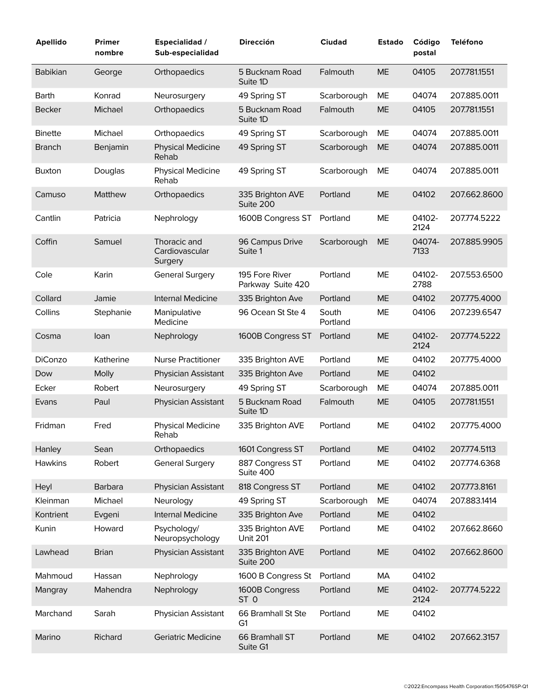| <b>Apellido</b> | Primer<br>nombre | <b>Especialidad /</b><br>Sub-especialidad | <b>Dirección</b>                     | <b>Ciudad</b>     | <b>Estado</b> | Código<br>postal | <b>Teléfono</b> |
|-----------------|------------------|-------------------------------------------|--------------------------------------|-------------------|---------------|------------------|-----------------|
| <b>Babikian</b> | George           | Orthopaedics                              | 5 Bucknam Road<br>Suite 1D           | Falmouth          | <b>ME</b>     | 04105            | 207.781.1551    |
| Barth           | Konrad           | Neurosurgery                              | 49 Spring ST                         | Scarborough       | ME            | 04074            | 207.885.0011    |
| <b>Becker</b>   | Michael          | Orthopaedics                              | 5 Bucknam Road<br>Suite 1D           | Falmouth          | <b>ME</b>     | 04105            | 207.781.1551    |
| <b>Binette</b>  | Michael          | Orthopaedics                              | 49 Spring ST                         | Scarborough       | ME            | 04074            | 207.885.0011    |
| <b>Branch</b>   | Benjamin         | <b>Physical Medicine</b><br>Rehab         | 49 Spring ST                         | Scarborough       | ME            | 04074            | 207.885.0011    |
| <b>Buxton</b>   | Douglas          | <b>Physical Medicine</b><br>Rehab         | 49 Spring ST                         | Scarborough       | ME            | 04074            | 207.885.0011    |
| Camuso          | Matthew          | Orthopaedics                              | 335 Brighton AVE<br>Suite 200        | Portland          | <b>ME</b>     | 04102            | 207.662.8600    |
| Cantlin         | Patricia         | Nephrology                                | 1600B Congress ST                    | Portland          | ME            | 04102-<br>2124   | 207.774.5222    |
| Coffin          | Samuel           | Thoracic and<br>Cardiovascular<br>Surgery | 96 Campus Drive<br>Suite 1           | Scarborough       | <b>ME</b>     | 04074-<br>7133   | 207.885.9905    |
| Cole            | Karin            | <b>General Surgery</b>                    | 195 Fore River<br>Parkway Suite 420  | Portland          | ME            | 04102-<br>2788   | 207.553.6500    |
| Collard         | Jamie            | <b>Internal Medicine</b>                  | 335 Brighton Ave                     | Portland          | <b>ME</b>     | 04102            | 207.775.4000    |
| Collins         | Stephanie        | Manipulative<br>Medicine                  | 96 Ocean St Ste 4                    | South<br>Portland | ME            | 04106            | 207.239.6547    |
| Cosma           | loan             | Nephrology                                | 1600B Congress ST                    | Portland          | <b>ME</b>     | 04102-<br>2124   | 207.774.5222    |
| DiConzo         | Katherine        | <b>Nurse Practitioner</b>                 | 335 Brighton AVE                     | Portland          | ME            | 04102            | 207.775.4000    |
| Dow             | Molly            | Physician Assistant                       | 335 Brighton Ave                     | Portland          | <b>ME</b>     | 04102            |                 |
| Ecker           | Robert           | Neurosurgery                              | 49 Spring ST                         | Scarborough       | ME            | 04074            | 207.885.0011    |
| Evans           | Paul             | Physician Assistant                       | 5 Bucknam Road<br>Suite 1D           | Falmouth          | <b>ME</b>     | 04105            | 207.781.1551    |
| Fridman         | Fred             | <b>Physical Medicine</b><br>Rehab         | 335 Brighton AVE                     | Portland          | ME            | 04102            | 207.775.4000    |
| Hanley          | Sean             | Orthopaedics                              | 1601 Congress ST                     | Portland          | <b>ME</b>     | 04102            | 207.774.5113    |
| <b>Hawkins</b>  | Robert           | <b>General Surgery</b>                    | 887 Congress ST<br>Suite 400         | Portland          | ME            | 04102            | 207.774.6368    |
| Heyl            | Barbara          | Physician Assistant                       | 818 Congress ST                      | Portland          | <b>ME</b>     | 04102            | 207.773.8161    |
| Kleinman        | Michael          | Neurology                                 | 49 Spring ST                         | Scarborough       | ME            | 04074            | 207.883.1414    |
| Kontrient       | Evgeni           | Internal Medicine                         | 335 Brighton Ave                     | Portland          | ME            | 04102            |                 |
| Kunin           | Howard           | Psychology/<br>Neuropsychology            | 335 Brighton AVE<br><b>Unit 201</b>  | Portland          | ME            | 04102            | 207.662.8660    |
| Lawhead         | <b>Brian</b>     | Physician Assistant                       | 335 Brighton AVE<br>Suite 200        | Portland          | ME            | 04102            | 207.662.8600    |
| Mahmoud         | Hassan           | Nephrology                                | 1600 B Congress St                   | Portland          | МA            | 04102            |                 |
| Mangray         | Mahendra         | Nephrology                                | 1600B Congress<br>ST <sub>0</sub>    | Portland          | ME            | 04102-<br>2124   | 207.774.5222    |
| Marchand        | Sarah            | Physician Assistant                       | 66 Bramhall St Ste<br>G <sub>1</sub> | Portland          | ME            | 04102            |                 |
| Marino          | Richard          | Geriatric Medicine                        | 66 Bramhall ST<br>Suite G1           | Portland          | <b>ME</b>     | 04102            | 207.662.3157    |